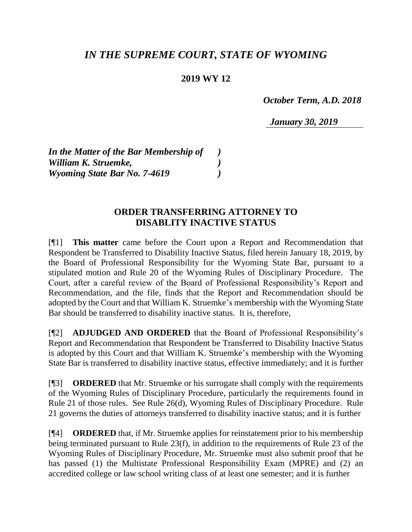## *IN THE SUPREME COURT, STATE OF WYOMING*

## **2019 WY 12**

 *October Term, A.D. 2018*

*January 30, 2019*

*In the Matter of the Bar Membership of ) William K. Struemke, ) Wyoming State Bar No. 7-4619 )*

## **ORDER TRANSFERRING ATTORNEY TO DISABLITY INACTIVE STATUS**

[¶1] **This matter** came before the Court upon a Report and Recommendation that Respondent be Transferred to Disability Inactive Status, filed herein January 18, 2019, by the Board of Professional Responsibility for the Wyoming State Bar, pursuant to a stipulated motion and Rule 20 of the Wyoming Rules of Disciplinary Procedure. The Court, after a careful review of the Board of Professional Responsibility's Report and Recommendation, and the file, finds that the Report and Recommendation should be adopted by the Court and that William K. Struemke's membership with the Wyoming State Bar should be transferred to disability inactive status. It is, therefore,

[¶2] **ADJUDGED AND ORDERED** that the Board of Professional Responsibility's Report and Recommendation that Respondent be Transferred to Disability Inactive Status is adopted by this Court and that William K. Struemke's membership with the Wyoming State Bar is transferred to disability inactive status, effective immediately; and it is further

[¶3] **ORDERED** that Mr. Struemke or his surrogate shall comply with the requirements of the Wyoming Rules of Disciplinary Procedure, particularly the requirements found in Rule 21 of those rules. See Rule 26(d), Wyoming Rules of Disciplinary Procedure. Rule 21 governs the duties of attorneys transferred to disability inactive status; and it is further

[¶4] **ORDERED** that, if Mr. Struemke applies for reinstatement prior to his membership being terminated pursuant to Rule 23(f), in addition to the requirements of Rule 23 of the Wyoming Rules of Disciplinary Procedure, Mr. Struemke must also submit proof that he has passed (1) the Multistate Professional Responsibility Exam (MPRE) and (2) an accredited college or law school writing class of at least one semester; and it is further